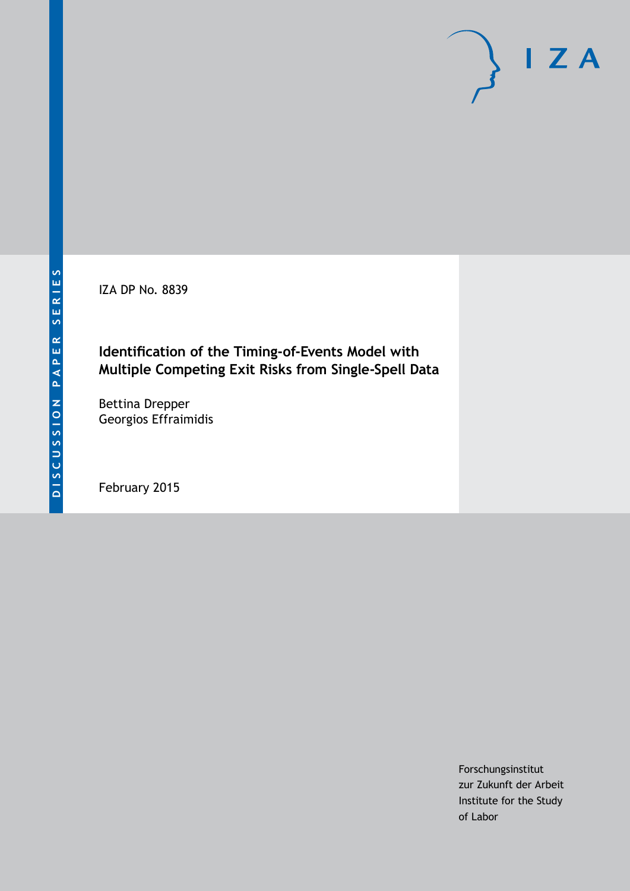IZA DP No. 8839

# **Identification of the Timing-of-Events Model with Multiple Competing Exit Risks from Single-Spell Data**

Bettina Drepper Georgios Effraimidis

February 2015

Forschungsinstitut zur Zukunft der Arbeit Institute for the Study of Labor

 $I Z A$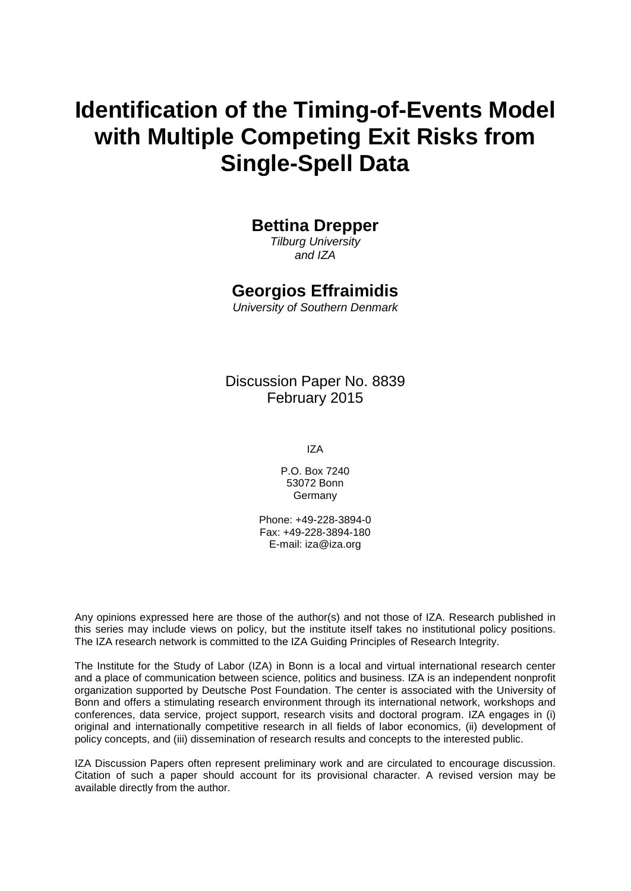# **Identification of the Timing-of-Events Model with Multiple Competing Exit Risks from Single-Spell Data**

#### **Bettina Drepper**

*Tilburg University and IZA*

#### **Georgios Effraimidis**

*University of Southern Denmark*

Discussion Paper No. 8839 February 2015

IZA

P.O. Box 7240 53072 Bonn Germany

Phone: +49-228-3894-0 Fax: +49-228-3894-180 E-mail: [iza@iza.org](mailto:iza@iza.org)

Any opinions expressed here are those of the author(s) and not those of IZA. Research published in this series may include views on policy, but the institute itself takes no institutional policy positions. The IZA research network is committed to the IZA Guiding Principles of Research Integrity.

The Institute for the Study of Labor (IZA) in Bonn is a local and virtual international research center and a place of communication between science, politics and business. IZA is an independent nonprofit organization supported by Deutsche Post Foundation. The center is associated with the University of Bonn and offers a stimulating research environment through its international network, workshops and conferences, data service, project support, research visits and doctoral program. IZA engages in (i) original and internationally competitive research in all fields of labor economics, (ii) development of policy concepts, and (iii) dissemination of research results and concepts to the interested public.

<span id="page-1-0"></span>IZA Discussion Papers often represent preliminary work and are circulated to encourage discussion. Citation of such a paper should account for its provisional character. A revised version may be available directly from the author.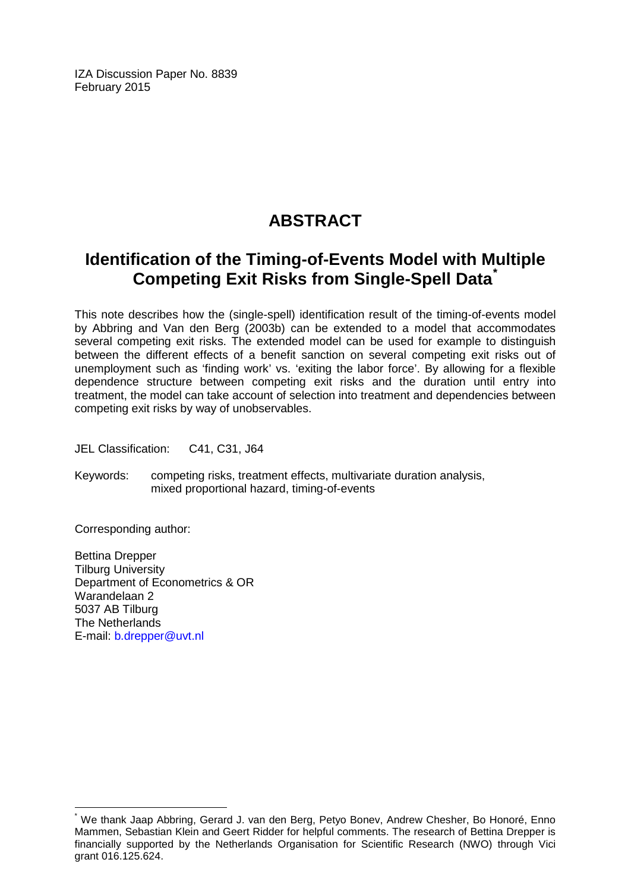IZA Discussion Paper No. 8839 February 2015

# **ABSTRACT**

# **Identification of the Timing-of-Events Model with Multiple Competing Exit Risks from Single-Spell Data[\\*](#page-1-0)**

This note describes how the (single-spell) identification result of the timing-of-events model by Abbring and Van den Berg (2003b) can be extended to a model that accommodates several competing exit risks. The extended model can be used for example to distinguish between the different effects of a benefit sanction on several competing exit risks out of unemployment such as 'finding work' vs. 'exiting the labor force'. By allowing for a flexible dependence structure between competing exit risks and the duration until entry into treatment, the model can take account of selection into treatment and dependencies between competing exit risks by way of unobservables.

JEL Classification: C41, C31, J64

Keywords: competing risks, treatment effects, multivariate duration analysis, mixed proportional hazard, timing-of-events

Corresponding author:

Bettina Drepper Tilburg University Department of Econometrics & OR Warandelaan 2 5037 AB Tilburg The Netherlands E-mail: [b.drepper@uvt.nl](mailto:b.drepper@uvt.nl)

We thank Jaap Abbring, Gerard J. van den Berg, Petyo Bonev, Andrew Chesher, Bo Honoré, Enno Mammen, Sebastian Klein and Geert Ridder for helpful comments. The research of Bettina Drepper is financially supported by the Netherlands Organisation for Scientific Research (NWO) through Vici grant 016.125.624.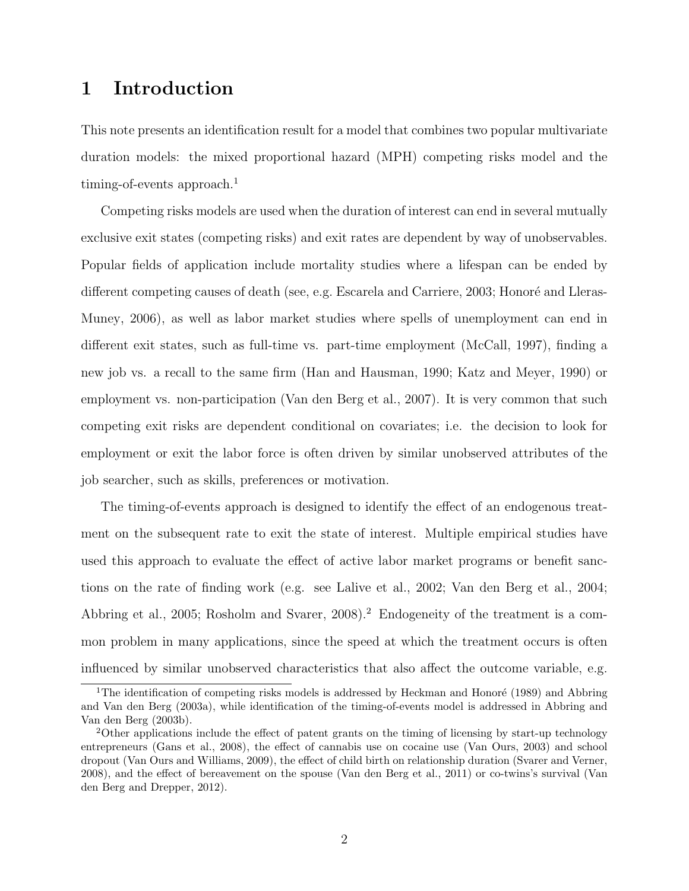# 1 Introduction

This note presents an identification result for a model that combines two popular multivariate duration models: the mixed proportional hazard (MPH) competing risks model and the timing-of-events approach.<sup>1</sup>

Competing risks models are used when the duration of interest can end in several mutually exclusive exit states (competing risks) and exit rates are dependent by way of unobservables. Popular fields of application include mortality studies where a lifespan can be ended by different competing causes of death (see, e.g. Escarela and Carriere, 2003; Honoré and Lleras-Muney, 2006), as well as labor market studies where spells of unemployment can end in different exit states, such as full-time vs. part-time employment (McCall, 1997), finding a new job vs. a recall to the same firm (Han and Hausman, 1990; Katz and Meyer, 1990) or employment vs. non-participation (Van den Berg et al., 2007). It is very common that such competing exit risks are dependent conditional on covariates; i.e. the decision to look for employment or exit the labor force is often driven by similar unobserved attributes of the job searcher, such as skills, preferences or motivation.

The timing-of-events approach is designed to identify the effect of an endogenous treatment on the subsequent rate to exit the state of interest. Multiple empirical studies have used this approach to evaluate the effect of active labor market programs or benefit sanctions on the rate of finding work (e.g. see Lalive et al., 2002; Van den Berg et al., 2004; Abbring et al., 2005; Rosholm and Svarer, 2008).<sup>2</sup> Endogeneity of the treatment is a common problem in many applications, since the speed at which the treatment occurs is often influenced by similar unobserved characteristics that also affect the outcome variable, e.g.

<sup>&</sup>lt;sup>1</sup>The identification of competing risks models is addressed by Heckman and Honoré (1989) and Abbring and Van den Berg (2003a), while identification of the timing-of-events model is addressed in Abbring and Van den Berg (2003b).

<sup>2</sup>Other applications include the effect of patent grants on the timing of licensing by start-up technology entrepreneurs (Gans et al., 2008), the effect of cannabis use on cocaine use (Van Ours, 2003) and school dropout (Van Ours and Williams, 2009), the effect of child birth on relationship duration (Svarer and Verner, 2008), and the effect of bereavement on the spouse (Van den Berg et al., 2011) or co-twins's survival (Van den Berg and Drepper, 2012).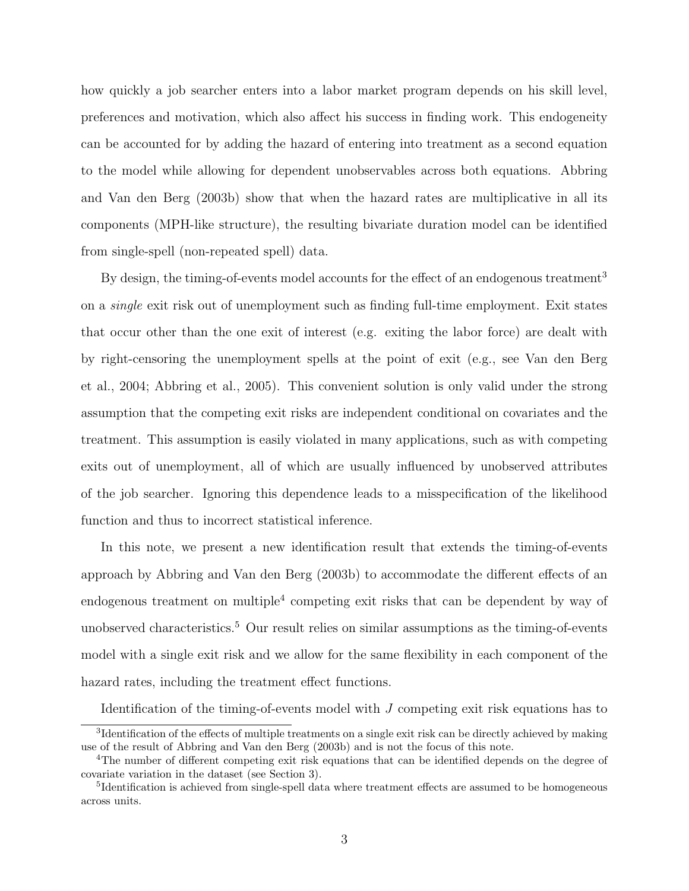how quickly a job searcher enters into a labor market program depends on his skill level, preferences and motivation, which also affect his success in finding work. This endogeneity can be accounted for by adding the hazard of entering into treatment as a second equation to the model while allowing for dependent unobservables across both equations. Abbring and Van den Berg (2003b) show that when the hazard rates are multiplicative in all its components (MPH-like structure), the resulting bivariate duration model can be identified from single-spell (non-repeated spell) data.

By design, the timing-of-events model accounts for the effect of an endogenous treatment<sup>3</sup> on a single exit risk out of unemployment such as finding full-time employment. Exit states that occur other than the one exit of interest (e.g. exiting the labor force) are dealt with by right-censoring the unemployment spells at the point of exit (e.g., see Van den Berg et al., 2004; Abbring et al., 2005). This convenient solution is only valid under the strong assumption that the competing exit risks are independent conditional on covariates and the treatment. This assumption is easily violated in many applications, such as with competing exits out of unemployment, all of which are usually influenced by unobserved attributes of the job searcher. Ignoring this dependence leads to a misspecification of the likelihood function and thus to incorrect statistical inference.

In this note, we present a new identification result that extends the timing-of-events approach by Abbring and Van den Berg (2003b) to accommodate the different effects of an endogenous treatment on multiple<sup>4</sup> competing exit risks that can be dependent by way of unobserved characteristics.<sup>5</sup> Our result relies on similar assumptions as the timing-of-events model with a single exit risk and we allow for the same flexibility in each component of the hazard rates, including the treatment effect functions.

Identification of the timing-of-events model with J competing exit risk equations has to

<sup>&</sup>lt;sup>3</sup>Identification of the effects of multiple treatments on a single exit risk can be directly achieved by making use of the result of Abbring and Van den Berg (2003b) and is not the focus of this note.

<sup>4</sup>The number of different competing exit risk equations that can be identified depends on the degree of covariate variation in the dataset (see Section 3).

<sup>&</sup>lt;sup>5</sup>Identification is achieved from single-spell data where treatment effects are assumed to be homogeneous across units.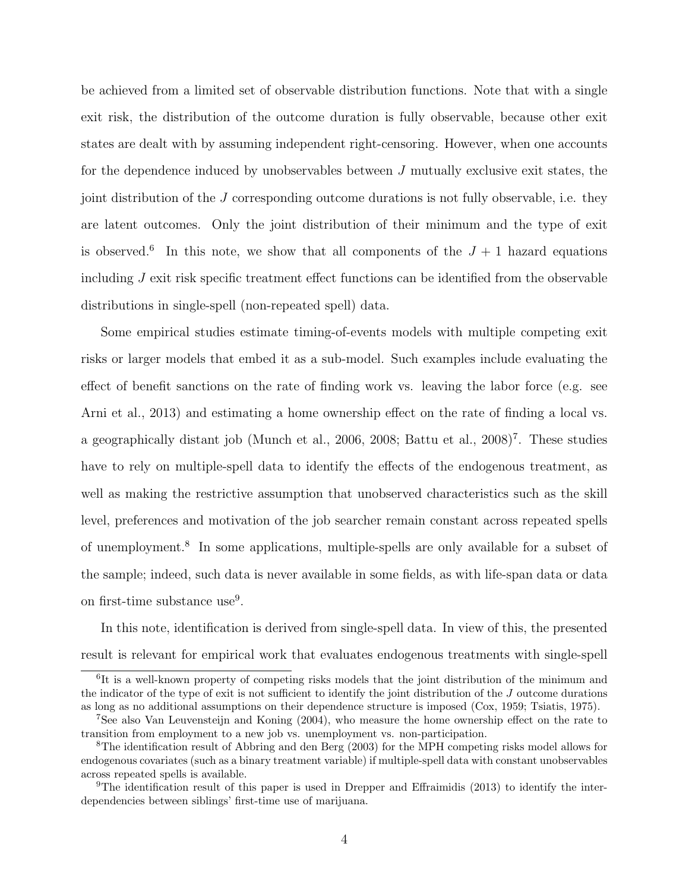be achieved from a limited set of observable distribution functions. Note that with a single exit risk, the distribution of the outcome duration is fully observable, because other exit states are dealt with by assuming independent right-censoring. However, when one accounts for the dependence induced by unobservables between J mutually exclusive exit states, the joint distribution of the J corresponding outcome durations is not fully observable, i.e. they are latent outcomes. Only the joint distribution of their minimum and the type of exit is observed.<sup>6</sup> In this note, we show that all components of the  $J + 1$  hazard equations including  $J$  exit risk specific treatment effect functions can be identified from the observable distributions in single-spell (non-repeated spell) data.

Some empirical studies estimate timing-of-events models with multiple competing exit risks or larger models that embed it as a sub-model. Such examples include evaluating the effect of benefit sanctions on the rate of finding work vs. leaving the labor force (e.g. see Arni et al., 2013) and estimating a home ownership effect on the rate of finding a local vs. a geographically distant job (Munch et al., 2006, 2008; Battu et al., 2008)<sup>7</sup>. These studies have to rely on multiple-spell data to identify the effects of the endogenous treatment, as well as making the restrictive assumption that unobserved characteristics such as the skill level, preferences and motivation of the job searcher remain constant across repeated spells of unemployment.<sup>8</sup> In some applications, multiple-spells are only available for a subset of the sample; indeed, such data is never available in some fields, as with life-span data or data on first-time substance use<sup>9</sup>.

In this note, identification is derived from single-spell data. In view of this, the presented result is relevant for empirical work that evaluates endogenous treatments with single-spell

<sup>&</sup>lt;sup>6</sup>It is a well-known property of competing risks models that the joint distribution of the minimum and the indicator of the type of exit is not sufficient to identify the joint distribution of the J outcome durations as long as no additional assumptions on their dependence structure is imposed (Cox, 1959; Tsiatis, 1975).

<sup>7</sup>See also Van Leuvensteijn and Koning (2004), who measure the home ownership effect on the rate to transition from employment to a new job vs. unemployment vs. non-participation.

<sup>8</sup>The identification result of Abbring and den Berg (2003) for the MPH competing risks model allows for endogenous covariates (such as a binary treatment variable) if multiple-spell data with constant unobservables across repeated spells is available.

<sup>9</sup>The identification result of this paper is used in Drepper and Effraimidis (2013) to identify the interdependencies between siblings' first-time use of marijuana.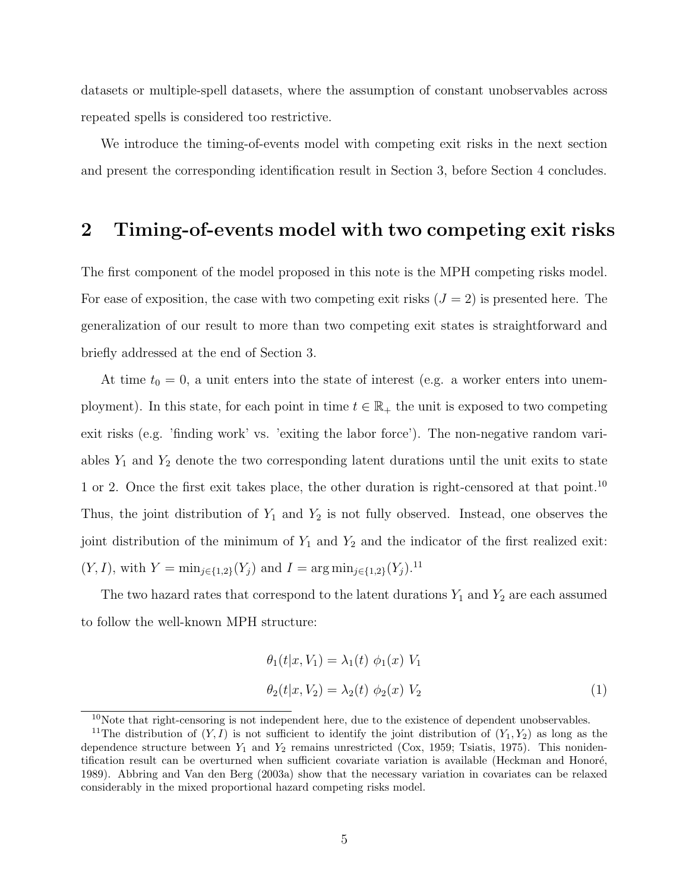datasets or multiple-spell datasets, where the assumption of constant unobservables across repeated spells is considered too restrictive.

We introduce the timing-of-events model with competing exit risks in the next section and present the corresponding identification result in Section 3, before Section 4 concludes.

#### 2 Timing-of-events model with two competing exit risks

The first component of the model proposed in this note is the MPH competing risks model. For ease of exposition, the case with two competing exit risks  $(J = 2)$  is presented here. The generalization of our result to more than two competing exit states is straightforward and briefly addressed at the end of Section 3.

At time  $t_0 = 0$ , a unit enters into the state of interest (e.g. a worker enters into unemployment). In this state, for each point in time  $t \in \mathbb{R}_+$  the unit is exposed to two competing exit risks (e.g. 'finding work' vs. 'exiting the labor force'). The non-negative random variables  $Y_1$  and  $Y_2$  denote the two corresponding latent durations until the unit exits to state 1 or 2. Once the first exit takes place, the other duration is right-censored at that point.<sup>10</sup> Thus, the joint distribution of  $Y_1$  and  $Y_2$  is not fully observed. Instead, one observes the joint distribution of the minimum of  $Y_1$  and  $Y_2$  and the indicator of the first realized exit:  $(Y, I)$ , with  $Y = \min_{j \in \{1,2\}} (Y_j)$  and  $I = \arg \min_{j \in \{1,2\}} (Y_j)$ .<sup>11</sup>

The two hazard rates that correspond to the latent durations  $Y_1$  and  $Y_2$  are each assumed to follow the well-known MPH structure:

$$
\theta_1(t|x, V_1) = \lambda_1(t) \phi_1(x) V_1
$$
  
\n
$$
\theta_2(t|x, V_2) = \lambda_2(t) \phi_2(x) V_2
$$
\n(1)

 $10$ Note that right-censoring is not independent here, due to the existence of dependent unobservables.

<sup>&</sup>lt;sup>11</sup>The distribution of  $(Y, I)$  is not sufficient to identify the joint distribution of  $(Y_1, Y_2)$  as long as the dependence structure between  $Y_1$  and  $Y_2$  remains unrestricted (Cox, 1959; Tsiatis, 1975). This nonidentification result can be overturned when sufficient covariate variation is available (Heckman and Honoré, 1989). Abbring and Van den Berg (2003a) show that the necessary variation in covariates can be relaxed considerably in the mixed proportional hazard competing risks model.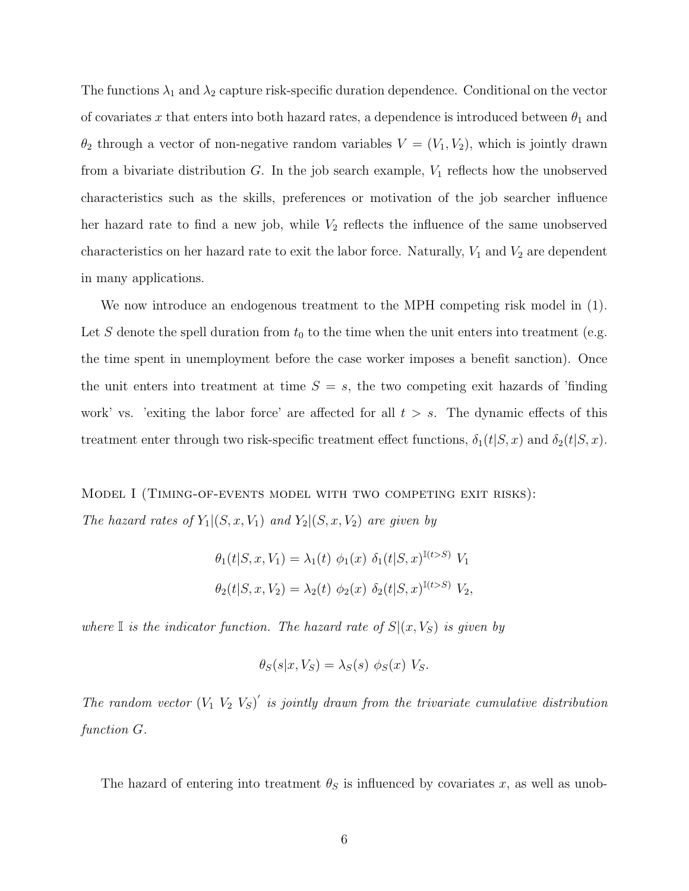The functions  $\lambda_1$  and  $\lambda_2$  capture risk-specific duration dependence. Conditional on the vector of covariates x that enters into both hazard rates, a dependence is introduced between  $\theta_1$  and  $\theta_2$  through a vector of non-negative random variables  $V = (V_1, V_2)$ , which is jointly drawn from a bivariate distribution  $G$ . In the job search example,  $V_1$  reflects how the unobserved characteristics such as the skills, preferences or motivation of the job searcher influence her hazard rate to find a new job, while  $V_2$  reflects the influence of the same unobserved characteristics on her hazard rate to exit the labor force. Naturally,  $V_1$  and  $V_2$  are dependent in many applications.

We now introduce an endogenous treatment to the MPH competing risk model in (1). Let S denote the spell duration from  $t_0$  to the time when the unit enters into treatment (e.g. the time spent in unemployment before the case worker imposes a benefit sanction). Once the unit enters into treatment at time  $S = s$ , the two competing exit hazards of 'finding work' vs. 'exiting the labor force' are affected for all  $t > s$ . The dynamic effects of this treatment enter through two risk-specific treatment effect functions,  $\delta_1(t|S, x)$  and  $\delta_2(t|S, x)$ .

Model I (Timing-of-events model with two competing exit risks): The hazard rates of  $Y_1|(S, x, V_1)$  and  $Y_2|(S, x, V_2)$  are given by

$$
\theta_1(t|S, x, V_1) = \lambda_1(t) \phi_1(x) \delta_1(t|S, x)^{I(t>S)} V_1
$$
  

$$
\theta_2(t|S, x, V_2) = \lambda_2(t) \phi_2(x) \delta_2(t|S, x)^{I(t>S)} V_2,
$$

where I is the indicator function. The hazard rate of  $S(x, V<sub>S</sub>)$  is given by

$$
\theta_S(s|x, V_S) = \lambda_S(s) \phi_S(x) V_S.
$$

The random vector  $(V_1 \ V_2 \ V_5)'$  is jointly drawn from the trivariate cumulative distribution function G.

The hazard of entering into treatment  $\theta_S$  is influenced by covariates x, as well as unob-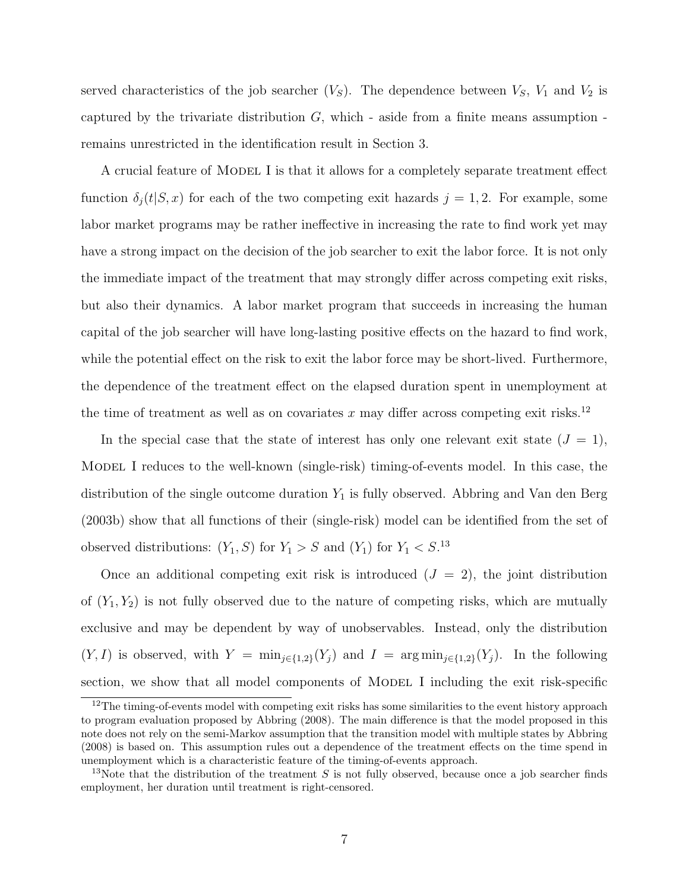served characteristics of the job searcher  $(V<sub>S</sub>)$ . The dependence between  $V<sub>S</sub>$ ,  $V<sub>1</sub>$  and  $V<sub>2</sub>$  is captured by the trivariate distribution  $G$ , which - aside from a finite means assumption remains unrestricted in the identification result in Section 3.

A crucial feature of MODEL I is that it allows for a completely separate treatment effect function  $\delta_i(t|S, x)$  for each of the two competing exit hazards  $j = 1, 2$ . For example, some labor market programs may be rather ineffective in increasing the rate to find work yet may have a strong impact on the decision of the job searcher to exit the labor force. It is not only the immediate impact of the treatment that may strongly differ across competing exit risks, but also their dynamics. A labor market program that succeeds in increasing the human capital of the job searcher will have long-lasting positive effects on the hazard to find work, while the potential effect on the risk to exit the labor force may be short-lived. Furthermore, the dependence of the treatment effect on the elapsed duration spent in unemployment at the time of treatment as well as on covariates x may differ across competing exit risks.<sup>12</sup>

In the special case that the state of interest has only one relevant exit state  $(J = 1)$ , Model I reduces to the well-known (single-risk) timing-of-events model. In this case, the distribution of the single outcome duration  $Y_1$  is fully observed. Abbring and Van den Berg (2003b) show that all functions of their (single-risk) model can be identified from the set of observed distributions:  $(Y_1, S)$  for  $Y_1 > S$  and  $(Y_1)$  for  $Y_1 < S$ .<sup>13</sup>

Once an additional competing exit risk is introduced  $(J = 2)$ , the joint distribution of  $(Y_1, Y_2)$  is not fully observed due to the nature of competing risks, which are mutually exclusive and may be dependent by way of unobservables. Instead, only the distribution  $(Y, I)$  is observed, with  $Y = \min_{j \in \{1,2\}}(Y_j)$  and  $I = \arg \min_{j \in \{1,2\}}(Y_j)$ . In the following section, we show that all model components of MODEL I including the exit risk-specific

<sup>&</sup>lt;sup>12</sup>The timing-of-events model with competing exit risks has some similarities to the event history approach to program evaluation proposed by Abbring (2008). The main difference is that the model proposed in this note does not rely on the semi-Markov assumption that the transition model with multiple states by Abbring (2008) is based on. This assumption rules out a dependence of the treatment effects on the time spend in unemployment which is a characteristic feature of the timing-of-events approach.

<sup>&</sup>lt;sup>13</sup>Note that the distribution of the treatment S is not fully observed, because once a job searcher finds employment, her duration until treatment is right-censored.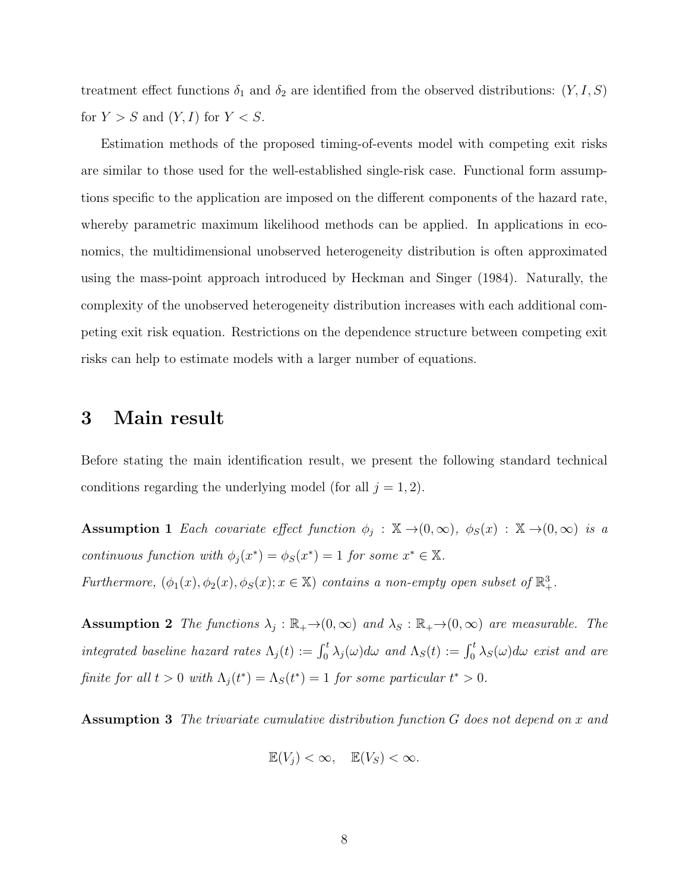treatment effect functions  $\delta_1$  and  $\delta_2$  are identified from the observed distributions:  $(Y, I, S)$ for  $Y > S$  and  $(Y, I)$  for  $Y < S$ .

Estimation methods of the proposed timing-of-events model with competing exit risks are similar to those used for the well-established single-risk case. Functional form assumptions specific to the application are imposed on the different components of the hazard rate, whereby parametric maximum likelihood methods can be applied. In applications in economics, the multidimensional unobserved heterogeneity distribution is often approximated using the mass-point approach introduced by Heckman and Singer (1984). Naturally, the complexity of the unobserved heterogeneity distribution increases with each additional competing exit risk equation. Restrictions on the dependence structure between competing exit risks can help to estimate models with a larger number of equations.

#### 3 Main result

Before stating the main identification result, we present the following standard technical conditions regarding the underlying model (for all  $j = 1, 2$ ).

Assumption 1 Each covariate effect function  $\phi_j : \mathbb{X} \to (0,\infty)$ ,  $\phi_S(x) : \mathbb{X} \to (0,\infty)$  is a continuous function with  $\phi_j(x^*) = \phi_S(x^*) = 1$  for some  $x^* \in \mathbb{X}$ . Furthermore,  $(\phi_1(x), \phi_2(x), \phi_S(x); x \in \mathbb{X})$  contains a non-empty open subset of  $\mathbb{R}^3_+$ .

**Assumption 2** The functions  $\lambda_j : \mathbb{R}_+ \to (0, \infty)$  and  $\lambda_S : \mathbb{R}_+ \to (0, \infty)$  are measurable. The integrated baseline hazard rates  $\Lambda_j(t) := \int_0^t \lambda_j(\omega) d\omega$  and  $\Lambda_S(t) := \int_0^t \lambda_S(\omega) d\omega$  exist and are finite for all  $t > 0$  with  $\Lambda_j(t^*) = \Lambda_S(t^*) = 1$  for some particular  $t^* > 0$ .

Assumption 3 The trivariate cumulative distribution function G does not depend on x and

$$
\mathbb{E}(V_j) < \infty, \quad \mathbb{E}(V_S) < \infty.
$$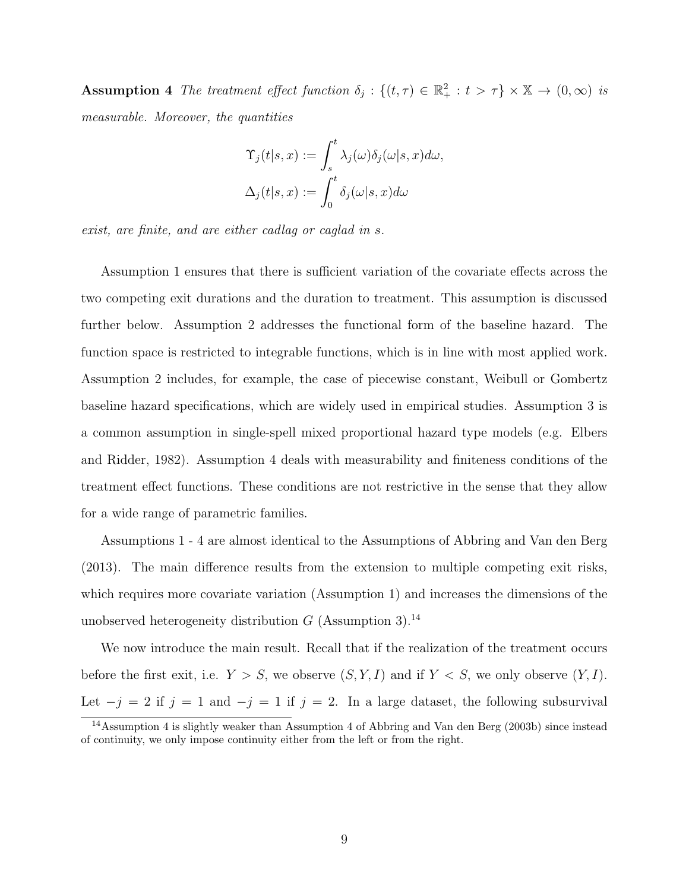Assumption 4 The treatment effect function  $\delta_j : \{(t, \tau) \in \mathbb{R}_+^2 : t > \tau\} \times \mathbb{X} \to (0, \infty)$  is measurable. Moreover, the quantities

$$
\begin{aligned} \Upsilon_j(t|s,x) &:= \int_s^t \lambda_j(\omega) \delta_j(\omega|s,x) d\omega, \\ \Delta_j(t|s,x) &:= \int_0^t \delta_j(\omega|s,x) d\omega \end{aligned}
$$

exist, are finite, and are either cadlag or caglad in s.

Assumption 1 ensures that there is sufficient variation of the covariate effects across the two competing exit durations and the duration to treatment. This assumption is discussed further below. Assumption 2 addresses the functional form of the baseline hazard. The function space is restricted to integrable functions, which is in line with most applied work. Assumption 2 includes, for example, the case of piecewise constant, Weibull or Gombertz baseline hazard specifications, which are widely used in empirical studies. Assumption 3 is a common assumption in single-spell mixed proportional hazard type models (e.g. Elbers and Ridder, 1982). Assumption 4 deals with measurability and finiteness conditions of the treatment effect functions. These conditions are not restrictive in the sense that they allow for a wide range of parametric families.

Assumptions 1 - 4 are almost identical to the Assumptions of Abbring and Van den Berg (2013). The main difference results from the extension to multiple competing exit risks, which requires more covariate variation (Assumption 1) and increases the dimensions of the unobserved heterogeneity distribution  $G$  (Assumption 3).<sup>14</sup>

We now introduce the main result. Recall that if the realization of the treatment occurs before the first exit, i.e.  $Y > S$ , we observe  $(S, Y, I)$  and if  $Y < S$ , we only observe  $(Y, I)$ . Let  $-j = 2$  if  $j = 1$  and  $-j = 1$  if  $j = 2$ . In a large dataset, the following subsurvival

<sup>14</sup>Assumption 4 is slightly weaker than Assumption 4 of Abbring and Van den Berg (2003b) since instead of continuity, we only impose continuity either from the left or from the right.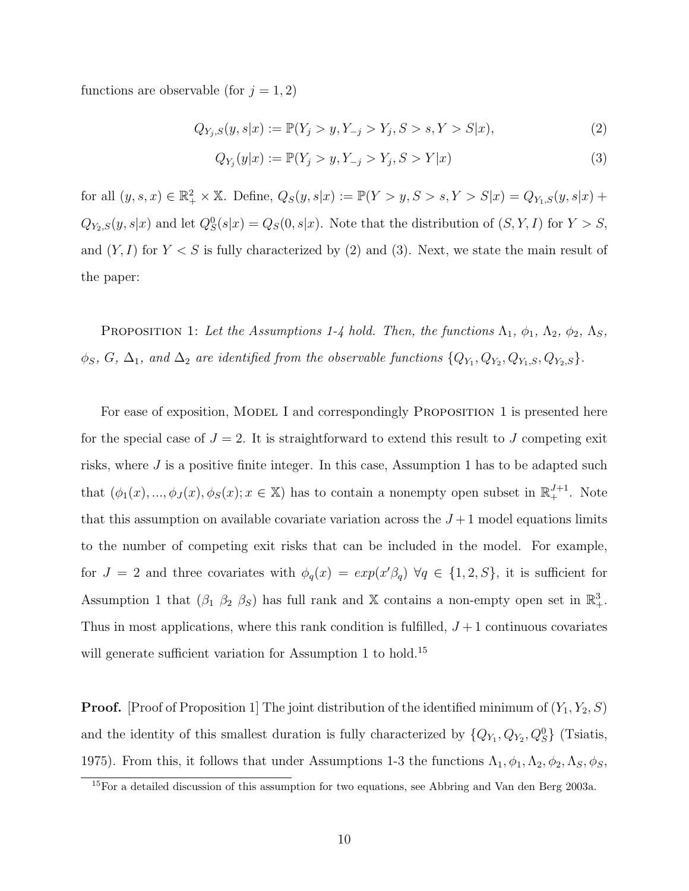functions are observable (for  $j = 1, 2$ )

$$
Q_{Y_j,S}(y,s|x) := \mathbb{P}(Y_j > y, Y_{-j} > Y_j, S > s, Y > S|x),
$$
\n(2)

$$
Q_{Y_j}(y|x) := \mathbb{P}(Y_j > y, Y_{-j} > Y_j, S > Y|x)
$$
\n(3)

for all  $(y, s, x) \in \mathbb{R}_+^2 \times \mathbb{X}$ . Define,  $Q_S(y, s|x) := \mathbb{P}(Y > y, S > s, Y > S|x) = Q_{Y_1,S}(y, s|x) +$  $Q_{Y_2,S}(y,s|x)$  and let  $Q_S^0(s|x) = Q_S(0,s|x)$ . Note that the distribution of  $(S, Y, I)$  for  $Y > S$ , and  $(Y, I)$  for  $Y \leq S$  is fully characterized by (2) and (3). Next, we state the main result of the paper:

PROPOSITION 1: Let the Assumptions 1-4 hold. Then, the functions  $\Lambda_1$ ,  $\phi_1$ ,  $\Lambda_2$ ,  $\phi_2$ ,  $\Lambda_S$ ,  $\phi_S, G, \Delta_1$ , and  $\Delta_2$  are identified from the observable functions  $\{Q_{Y_1}, Q_{Y_2}, Q_{Y_1,S}, Q_{Y_2,S}\}.$ 

For ease of exposition, MODEL I and correspondingly PROPOSITION 1 is presented here for the special case of  $J = 2$ . It is straightforward to extend this result to J competing exit risks, where  $J$  is a positive finite integer. In this case, Assumption 1 has to be adapted such that  $(\phi_1(x), ..., \phi_J(x), \phi_S(x); x \in \mathbb{X})$  has to contain a nonempty open subset in  $\mathbb{R}^{J+1}_+$ . Note that this assumption on available covariate variation across the  $J+1$  model equations limits to the number of competing exit risks that can be included in the model. For example, for  $J = 2$  and three covariates with  $\phi_q(x) = exp(x'\beta_q) \,\forall q \in \{1, 2, S\}$ , it is sufficient for Assumption 1 that  $(\beta_1 \ \beta_2 \ \beta_S)$  has full rank and X contains a non-empty open set in  $\mathbb{R}^3_+$ . Thus in most applications, where this rank condition is fulfilled,  $J+1$  continuous covariates will generate sufficient variation for Assumption 1 to hold.<sup>15</sup>

**Proof.** [Proof of Proposition 1] The joint distribution of the identified minimum of  $(Y_1, Y_2, S)$ and the identity of this smallest duration is fully characterized by  $\{Q_{Y_1}, Q_{Y_2}, Q_S^0\}$  (Tsiatis, 1975). From this, it follows that under Assumptions 1-3 the functions  $\Lambda_1, \phi_1, \Lambda_2, \phi_2, \Lambda_S, \phi_S$ ,

<sup>15</sup>For a detailed discussion of this assumption for two equations, see Abbring and Van den Berg 2003a.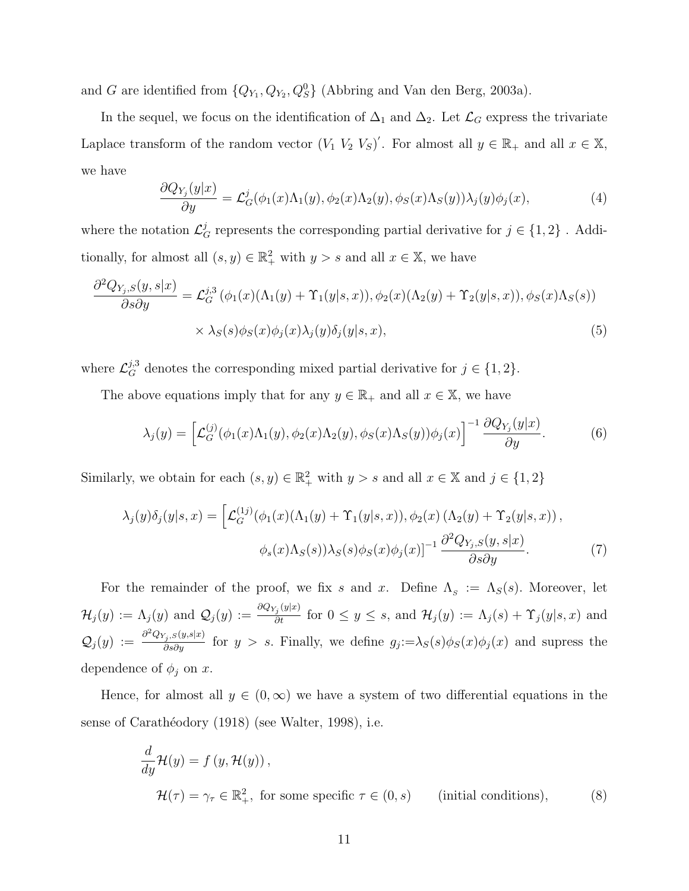and G are identified from  $\{Q_{Y_1}, Q_{Y_2}, Q_S^0\}$  (Abbring and Van den Berg, 2003a).

In the sequel, we focus on the identification of  $\Delta_1$  and  $\Delta_2$ . Let  $\mathcal{L}_G$  express the trivariate Laplace transform of the random vector  $(V_1 \ V_2 \ V_S)'$ . For almost all  $y \in \mathbb{R}_+$  and all  $x \in \mathbb{X}$ , we have

$$
\frac{\partial Q_{Y_j}(y|x)}{\partial y} = \mathcal{L}_G^j(\phi_1(x)\Lambda_1(y), \phi_2(x)\Lambda_2(y), \phi_S(x)\Lambda_S(y))\lambda_j(y)\phi_j(x),\tag{4}
$$

where the notation  $\mathcal{L}_{G}^{j}$  represents the corresponding partial derivative for  $j \in \{1,2\}$ . Additionally, for almost all  $(s, y) \in \mathbb{R}^2_+$  with  $y > s$  and all  $x \in \mathbb{X}$ , we have

$$
\frac{\partial^2 Q_{Y_j,S}(y,s|x)}{\partial s \partial y} = \mathcal{L}_G^{j,3}(\phi_1(x)(\Lambda_1(y) + \Upsilon_1(y|s,x)), \phi_2(x)(\Lambda_2(y) + \Upsilon_2(y|s,x)), \phi_S(x)\Lambda_S(s))
$$

$$
\times \lambda_S(s)\phi_S(x)\phi_j(x)\lambda_j(y)\delta_j(y|s,x), \tag{5}
$$

where  $\mathcal{L}_G^{j,3}$  denotes the corresponding mixed partial derivative for  $j \in \{1,2\}$ .

The above equations imply that for any  $y \in \mathbb{R}_+$  and all  $x \in \mathbb{X}$ , we have

$$
\lambda_j(y) = \left[ \mathcal{L}_G^{(j)}(\phi_1(x)\Lambda_1(y), \phi_2(x)\Lambda_2(y), \phi_S(x)\Lambda_S(y))\phi_j(x) \right]^{-1} \frac{\partial Q_{Y_j}(y|x)}{\partial y}.
$$
 (6)

Similarly, we obtain for each  $(s, y) \in \mathbb{R}^2_+$  with  $y > s$  and all  $x \in \mathbb{X}$  and  $j \in \{1, 2\}$ 

$$
\lambda_j(y)\delta_j(y|s,x) = \left[\mathcal{L}_G^{(1j)}(\phi_1(x)(\Lambda_1(y) + \Upsilon_1(y|s,x)), \phi_2(x)(\Lambda_2(y) + \Upsilon_2(y|s,x)), \phi_s(x)\Lambda_S(s))\lambda_S(s)\phi_S(x)\phi_j(x)\right]^{-1} \frac{\partial^2 Q_{Y_j,S}(y,s|x)}{\partial s \partial y}.
$$
\n(7)

For the remainder of the proof, we fix s and x. Define  $\Lambda_s := \Lambda_s(s)$ . Moreover, let  $\mathcal{H}_j(y) := \Lambda_j(y)$  and  $\mathcal{Q}_j(y) := \frac{\partial \mathcal{Q}_{Y_j}(y|x)}{\partial t}$  for  $0 \le y \le s$ , and  $\mathcal{H}_j(y) := \Lambda_j(s) + \Upsilon_j(y|s, x)$  and  $\mathcal{Q}_j(y) := \frac{\partial^2 Q_{Y_j,S}(y,s|x)}{\partial s \partial y}$  for  $y > s$ . Finally, we define  $g_j := \lambda_S(s) \phi_S(x) \phi_j(x)$  and supress the dependence of  $\phi_j$  on x.

Hence, for almost all  $y \in (0,\infty)$  we have a system of two differential equations in the sense of Carathéodory (1918) (see Walter, 1998), i.e.

$$
\frac{d}{dy}\mathcal{H}(y) = f(y, \mathcal{H}(y)),
$$
  

$$
\mathcal{H}(\tau) = \gamma_{\tau} \in \mathbb{R}^{2}_{+}, \text{ for some specific } \tau \in (0, s) \qquad \text{(initial conditions)}, \tag{8}
$$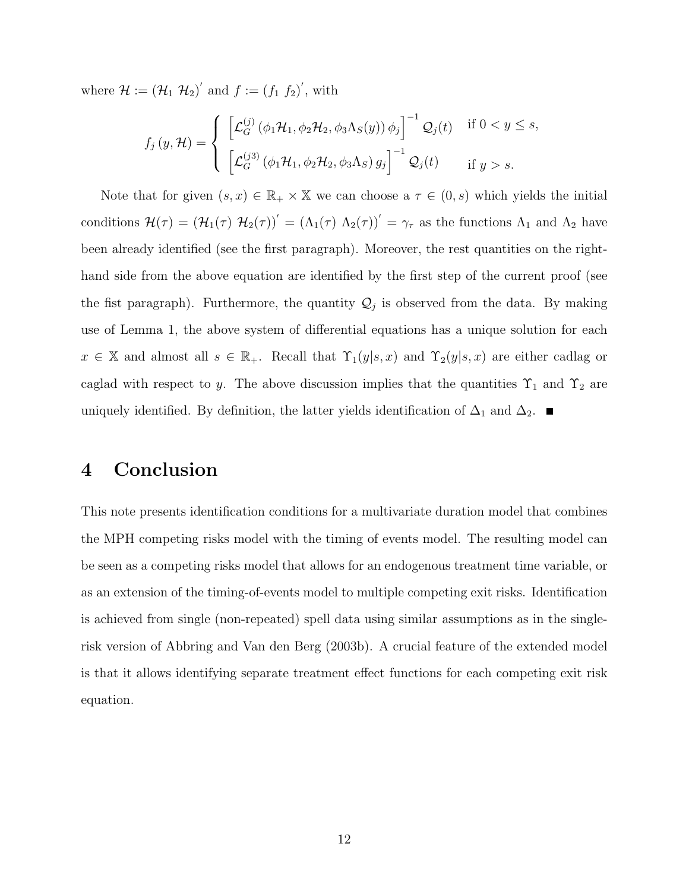where  $\mathcal{H} := (\mathcal{H}_1 \; \mathcal{H}_2)'$  and  $f := (f_1 \; f_2)'$ , with

$$
f_j(y, \mathcal{H}) = \begin{cases} \left[ \mathcal{L}_G^{(j)}(\phi_1 \mathcal{H}_1, \phi_2 \mathcal{H}_2, \phi_3 \Lambda_S(y)) \phi_j \right]^{-1} \mathcal{Q}_j(t) & \text{if } 0 < y \le s, \\ \left[ \mathcal{L}_G^{(j3)}(\phi_1 \mathcal{H}_1, \phi_2 \mathcal{H}_2, \phi_3 \Lambda_S) g_j \right]^{-1} \mathcal{Q}_j(t) & \text{if } y > s. \end{cases}
$$

Note that for given  $(s, x) \in \mathbb{R}_+ \times \mathbb{X}$  we can choose a  $\tau \in (0, s)$  which yields the initial conditions  $\mathcal{H}(\tau) = (\mathcal{H}_1(\tau) \mathcal{H}_2(\tau))' = (\Lambda_1(\tau) \Lambda_2(\tau))' = \gamma_\tau$  as the functions  $\Lambda_1$  and  $\Lambda_2$  have been already identified (see the first paragraph). Moreover, the rest quantities on the righthand side from the above equation are identified by the first step of the current proof (see the fist paragraph). Furthermore, the quantity  $\mathcal{Q}_j$  is observed from the data. By making use of Lemma 1, the above system of differential equations has a unique solution for each  $x \in \mathbb{X}$  and almost all  $s \in \mathbb{R}_+$ . Recall that  $\Upsilon_1(y|s,x)$  and  $\Upsilon_2(y|s,x)$  are either cadlag or caglad with respect to y. The above discussion implies that the quantities  $\Upsilon_1$  and  $\Upsilon_2$  are uniquely identified. By definition, the latter yields identification of  $\Delta_1$  and  $\Delta_2$ .

### 4 Conclusion

This note presents identification conditions for a multivariate duration model that combines the MPH competing risks model with the timing of events model. The resulting model can be seen as a competing risks model that allows for an endogenous treatment time variable, or as an extension of the timing-of-events model to multiple competing exit risks. Identification is achieved from single (non-repeated) spell data using similar assumptions as in the singlerisk version of Abbring and Van den Berg (2003b). A crucial feature of the extended model is that it allows identifying separate treatment effect functions for each competing exit risk equation.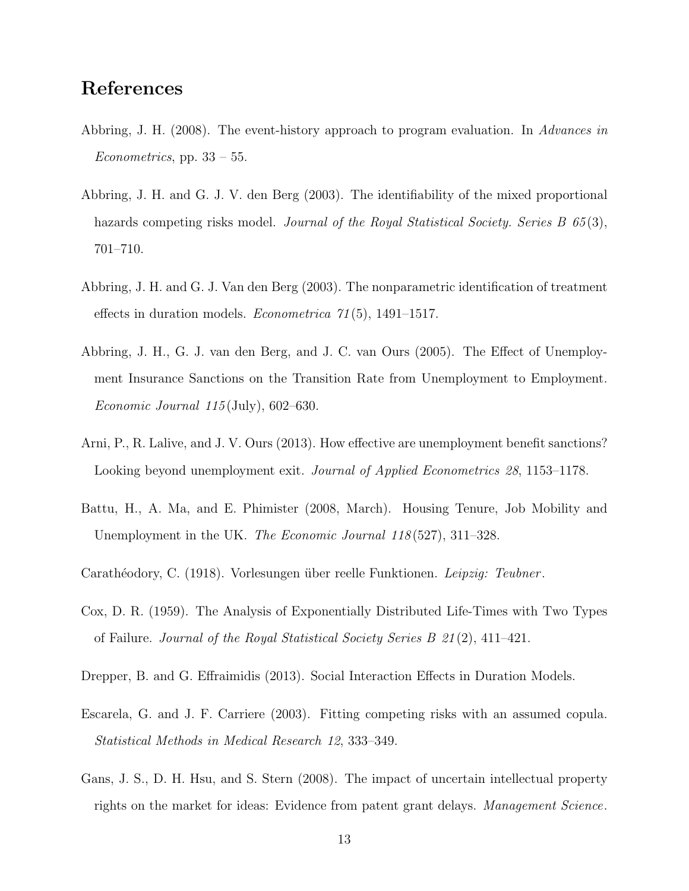# References

- Abbring, J. H. (2008). The event-history approach to program evaluation. In Advances in Econometrics, pp.  $33 - 55$ .
- Abbring, J. H. and G. J. V. den Berg (2003). The identifiability of the mixed proportional hazards competing risks model. Journal of the Royal Statistical Society. Series B 65(3), 701–710.
- Abbring, J. H. and G. J. Van den Berg (2003). The nonparametric identification of treatment effects in duration models. Econometrica 71 (5), 1491–1517.
- Abbring, J. H., G. J. van den Berg, and J. C. van Ours (2005). The Effect of Unemployment Insurance Sanctions on the Transition Rate from Unemployment to Employment. Economic Journal  $115$  (July), 602–630.
- Arni, P., R. Lalive, and J. V. Ours (2013). How effective are unemployment benefit sanctions? Looking beyond unemployment exit. *Journal of Applied Econometrics 28*, 1153–1178.
- Battu, H., A. Ma, and E. Phimister (2008, March). Housing Tenure, Job Mobility and Unemployment in the UK. The Economic Journal 118(527), 311–328.
- Carathéodory, C. (1918). Vorlesungen über reelle Funktionen. Leipzig: Teubner.
- Cox, D. R. (1959). The Analysis of Exponentially Distributed Life-Times with Two Types of Failure. Journal of the Royal Statistical Society Series B 21 (2), 411–421.
- Drepper, B. and G. Effraimidis (2013). Social Interaction Effects in Duration Models.
- Escarela, G. and J. F. Carriere (2003). Fitting competing risks with an assumed copula. Statistical Methods in Medical Research 12, 333–349.
- Gans, J. S., D. H. Hsu, and S. Stern (2008). The impact of uncertain intellectual property rights on the market for ideas: Evidence from patent grant delays. Management Science.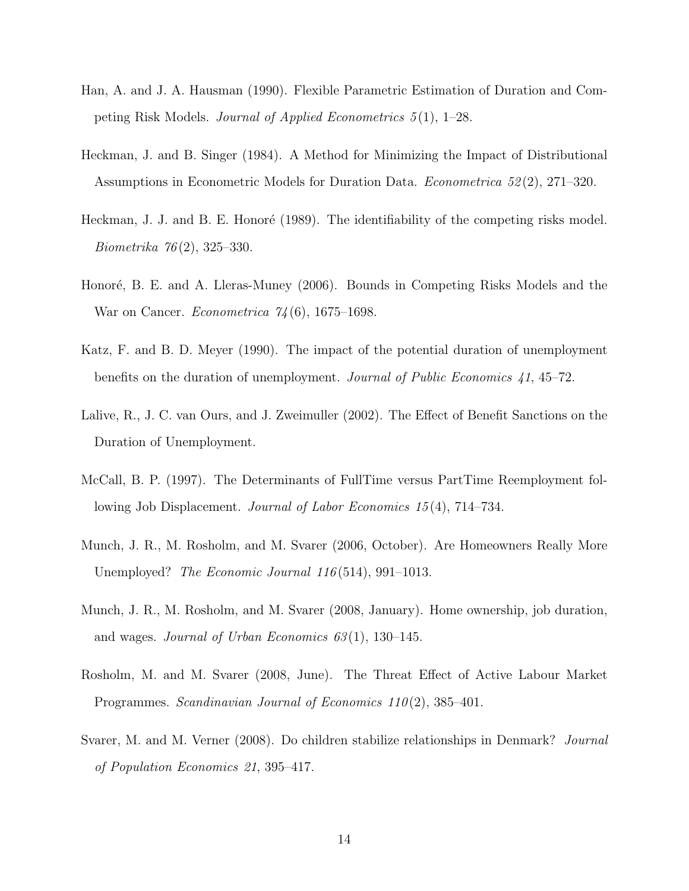- Han, A. and J. A. Hausman (1990). Flexible Parametric Estimation of Duration and Competing Risk Models. Journal of Applied Econometrics  $5(1)$ , 1–28.
- Heckman, J. and B. Singer (1984). A Method for Minimizing the Impact of Distributional Assumptions in Econometric Models for Duration Data. Econometrica 52 (2), 271–320.
- Heckman, J. J. and B. E. Honoré (1989). The identifiability of the competing risks model. Biometrika 76 (2), 325–330.
- Honoré, B. E. and A. Lleras-Muney (2006). Bounds in Competing Risks Models and the War on Cancer. *Econometrica*  $74(6)$ , 1675–1698.
- Katz, F. and B. D. Meyer (1990). The impact of the potential duration of unemployment benefits on the duration of unemployment. Journal of Public Economics 41, 45–72.
- Lalive, R., J. C. van Ours, and J. Zweimuller (2002). The Effect of Benefit Sanctions on the Duration of Unemployment.
- McCall, B. P. (1997). The Determinants of FullTime versus PartTime Reemployment following Job Displacement. *Journal of Labor Economics 15*(4), 714–734.
- Munch, J. R., M. Rosholm, and M. Svarer (2006, October). Are Homeowners Really More Unemployed? *The Economic Journal 116* (514), 991–1013.
- Munch, J. R., M. Rosholm, and M. Svarer (2008, January). Home ownership, job duration, and wages. Journal of Urban Economics  $63(1)$ , 130–145.
- Rosholm, M. and M. Svarer (2008, June). The Threat Effect of Active Labour Market Programmes. Scandinavian Journal of Economics 110(2), 385–401.
- Svarer, M. and M. Verner (2008). Do children stabilize relationships in Denmark? Journal of Population Economics 21, 395–417.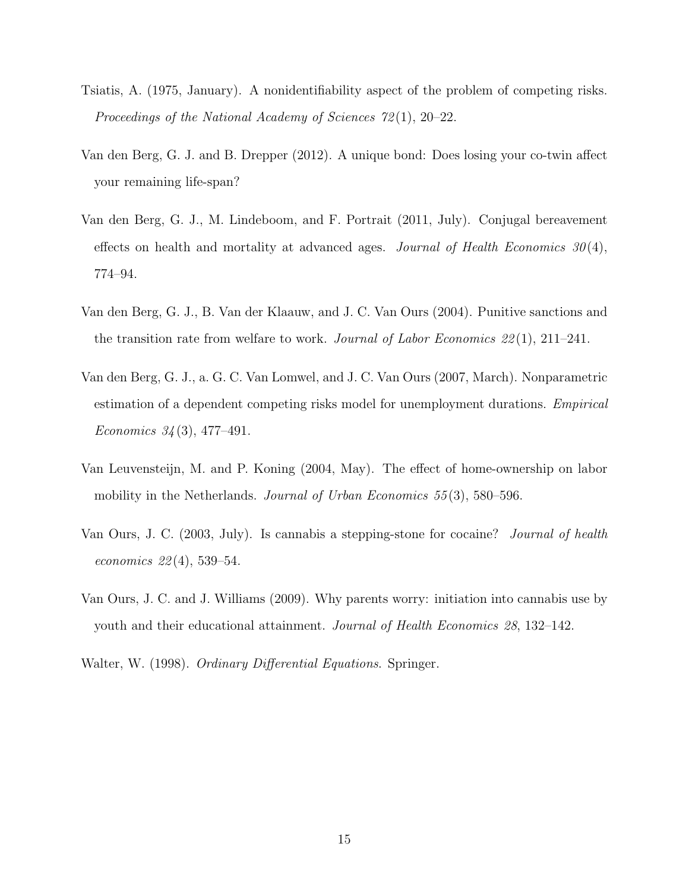- Tsiatis, A. (1975, January). A nonidentifiability aspect of the problem of competing risks. Proceedings of the National Academy of Sciences 72 (1), 20–22.
- Van den Berg, G. J. and B. Drepper (2012). A unique bond: Does losing your co-twin affect your remaining life-span?
- Van den Berg, G. J., M. Lindeboom, and F. Portrait (2011, July). Conjugal bereavement effects on health and mortality at advanced ages. Journal of Health Economics  $30(4)$ , 774–94.
- Van den Berg, G. J., B. Van der Klaauw, and J. C. Van Ours (2004). Punitive sanctions and the transition rate from welfare to work. Journal of Labor Economics  $22(1)$ ,  $211-241$ .
- Van den Berg, G. J., a. G. C. Van Lomwel, and J. C. Van Ours (2007, March). Nonparametric estimation of a dependent competing risks model for unemployment durations. Empirical Economics  $34(3)$ , 477-491.
- Van Leuvensteijn, M. and P. Koning (2004, May). The effect of home-ownership on labor mobility in the Netherlands. *Journal of Urban Economics* 55(3), 580–596.
- Van Ours, J. C. (2003, July). Is cannabis a stepping-stone for cocaine? Journal of health economics  $22(4)$ , 539–54.
- Van Ours, J. C. and J. Williams (2009). Why parents worry: initiation into cannabis use by youth and their educational attainment. Journal of Health Economics 28, 132–142.
- Walter, W. (1998). Ordinary Differential Equations. Springer.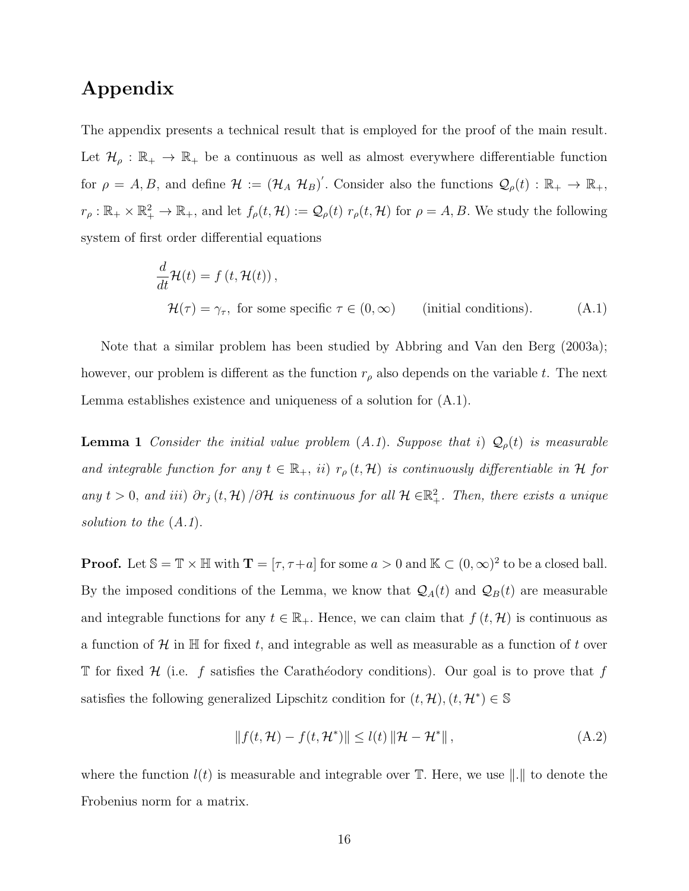## Appendix

The appendix presents a technical result that is employed for the proof of the main result. Let  $\mathcal{H}_{\rho}: \mathbb{R}_+ \to \mathbb{R}_+$  be a continuous as well as almost everywhere differentiable function for  $\rho = A, B$ , and define  $\mathcal{H} := (\mathcal{H}_A \mathcal{H}_B)'$ . Consider also the functions  $\mathcal{Q}_{\rho}(t) : \mathbb{R}_+ \to \mathbb{R}_+$ ,  $r_{\rho}: \mathbb{R}_+ \times \mathbb{R}_+^2 \to \mathbb{R}_+$ , and let  $f_{\rho}(t, \mathcal{H}) := \mathcal{Q}_{\rho}(t) r_{\rho}(t, \mathcal{H})$  for  $\rho = A, B$ . We study the following system of first order differential equations

$$
\frac{d}{dt}\mathcal{H}(t) = f(t, \mathcal{H}(t)),
$$
  

$$
\mathcal{H}(\tau) = \gamma_{\tau}, \text{ for some specific } \tau \in (0, \infty) \qquad \text{(initial conditions).} \tag{A.1}
$$

Note that a similar problem has been studied by Abbring and Van den Berg (2003a); however, our problem is different as the function  $r<sub>\rho</sub>$  also depends on the variable t. The next Lemma establishes existence and uniqueness of a solution for (A.1).

**Lemma 1** Consider the initial value problem  $(A.1)$ . Suppose that i)  $\mathcal{Q}_{\rho}(t)$  is measurable and integrable function for any  $t \in \mathbb{R}_+$ , ii)  $r_\rho(t, \mathcal{H})$  is continuously differentiable in  $\mathcal H$  for any  $t > 0$ , and iii)  $\partial r_j(t, \mathcal{H})/\partial \mathcal{H}$  is continuous for all  $\mathcal{H} \in \mathbb{R}_+^2$ . Then, there exists a unique solution to the  $(A.1)$ .

**Proof.** Let  $\mathbb{S} = \mathbb{T} \times \mathbb{H}$  with  $\mathbf{T} = [\tau, \tau + a]$  for some  $a > 0$  and  $\mathbb{K} \subset (0, \infty)^2$  to be a closed ball. By the imposed conditions of the Lemma, we know that  $\mathcal{Q}_A(t)$  and  $\mathcal{Q}_B(t)$  are measurable and integrable functions for any  $t \in \mathbb{R}_+$ . Hence, we can claim that  $f(t, \mathcal{H})$  is continuous as a function of H in H for fixed t, and integrable as well as measurable as a function of t over T for fixed  $H$  (i.e. f satisfies the Carathéodory conditions). Our goal is to prove that f satisfies the following generalized Lipschitz condition for  $(t, \mathcal{H}), (t, \mathcal{H}^*) \in \mathbb{S}$ 

$$
|| f(t, \mathcal{H}) - f(t, \mathcal{H}^*) || \le l(t) ||\mathcal{H} - \mathcal{H}^*||,
$$
\n(A.2)

where the function  $l(t)$  is measurable and integrable over  $\mathbb{T}$ . Here, we use  $\| \cdot \|$  to denote the Frobenius norm for a matrix.